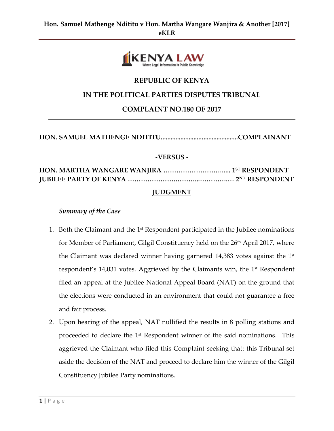

# **REPUBLIC OF KENYA**

# **IN THE POLITICAL PARTIES DISPUTES TRIBUNAL**

# **COMPLAINT NO.180 OF 2017**

**HON. SAMUEL MATHENGE NDITITU...............................................COMPLAINANT**

#### **-VERSUS -**

# **HON. MARTHA WANGARE WANJIRA ……………………..…... 1ST RESPONDENT JUBILEE PARTY OF KENYA ………………….………...………….… 2ND RESPONDENT**

### **JUDGMENT**

#### *Summary of the Case*

- 1. Both the Claimant and the  $1<sup>st</sup>$  Respondent participated in the Jubilee nominations for Member of Parliament, Gilgil Constituency held on the 26<sup>th</sup> April 2017, where the Claimant was declared winner having garnered 14,383 votes against the  $1^\text{st}$ respondent's 14,031 votes. Aggrieved by the Claimants win, the 1st Respondent filed an appeal at the Jubilee National Appeal Board (NAT) on the ground that the elections were conducted in an environment that could not guarantee a free and fair process.
- 2. Upon hearing of the appeal, NAT nullified the results in 8 polling stations and proceeded to declare the 1st Respondent winner of the said nominations. This aggrieved the Claimant who filed this Complaint seeking that: this Tribunal set aside the decision of the NAT and proceed to declare him the winner of the Gilgil Constituency Jubilee Party nominations.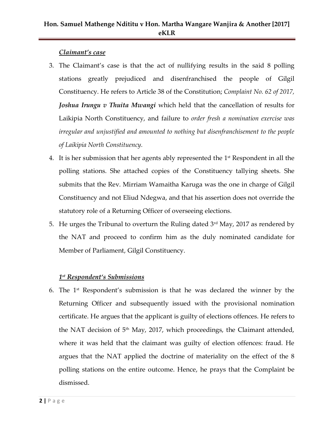# **Hon. Samuel Mathenge Ndititu v Hon. Martha Wangare Wanjira & Another [2017] eKLR**

## *Claimant's case*

- 3. The Claimant's case is that the act of nullifying results in the said 8 polling stations greatly prejudiced and disenfranchised the people of Gilgil Constituency. He refers to Article 38 of the Constitution; *Complaint No. 62 of 2017, Joshua Irungu v Thuita Mwangi* which held that the cancellation of results for Laikipia North Constituency, and failure to *order fresh a nomination exercise was irregular and unjustified and amounted to nothing but disenfranchisement to the people of Laikipia North Constituency.*
- 4. It is her submission that her agents ably represented the  $1<sup>st</sup>$  Respondent in all the polling stations. She attached copies of the Constituency tallying sheets. She submits that the Rev. Mirriam Wamaitha Karuga was the one in charge of Gilgil Constituency and not Eliud Ndegwa, and that his assertion does not override the statutory role of a Returning Officer of overseeing elections.
- 5. He urges the Tribunal to overturn the Ruling dated  $3<sup>rd</sup>$  May, 2017 as rendered by the NAT and proceed to confirm him as the duly nominated candidate for Member of Parliament, Gilgil Constituency.

# *1 st Respondent's Submissions*

6. The  $1<sup>st</sup>$  Respondent's submission is that he was declared the winner by the Returning Officer and subsequently issued with the provisional nomination certificate. He argues that the applicant is guilty of elections offences. He refers to the NAT decision of 5<sup>th</sup> May, 2017, which proceedings, the Claimant attended, where it was held that the claimant was guilty of election offences: fraud. He argues that the NAT applied the doctrine of materiality on the effect of the 8 polling stations on the entire outcome. Hence, he prays that the Complaint be dismissed.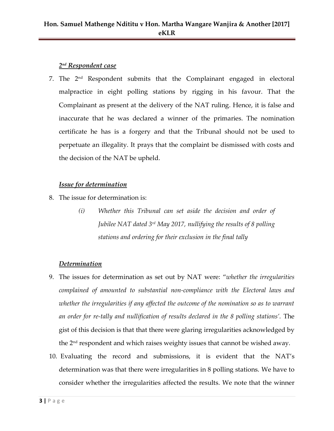# *2 nd Respondent case*

7. The  $2<sup>nd</sup>$  Respondent submits that the Complainant engaged in electoral malpractice in eight polling stations by rigging in his favour. That the Complainant as present at the delivery of the NAT ruling. Hence, it is false and inaccurate that he was declared a winner of the primaries. The nomination certificate he has is a forgery and that the Tribunal should not be used to perpetuate an illegality. It prays that the complaint be dismissed with costs and the decision of the NAT be upheld.

## *Issue for determination*

- 8. The issue for determination is:
	- *(i) Whether this Tribunal can set aside the decision and order of Jubilee NAT dated 3rd May 2017, nullifying the results of 8 polling stations and ordering for their exclusion in the final tally*

# *Determination*

- 9. The issues for determination as set out by NAT were: "*whether the irregularities complained of amounted to substantial non-compliance with the Electoral laws and whether the irregularities if any affected the outcome of the nomination so as to warrant an order for re-tally and nullification of results declared in the 8 polling stations'.* The gist of this decision is that that there were glaring irregularities acknowledged by the  $2<sup>nd</sup>$  respondent and which raises weighty issues that cannot be wished away.
- 10. Evaluating the record and submissions, it is evident that the NAT's determination was that there were irregularities in 8 polling stations. We have to consider whether the irregularities affected the results. We note that the winner